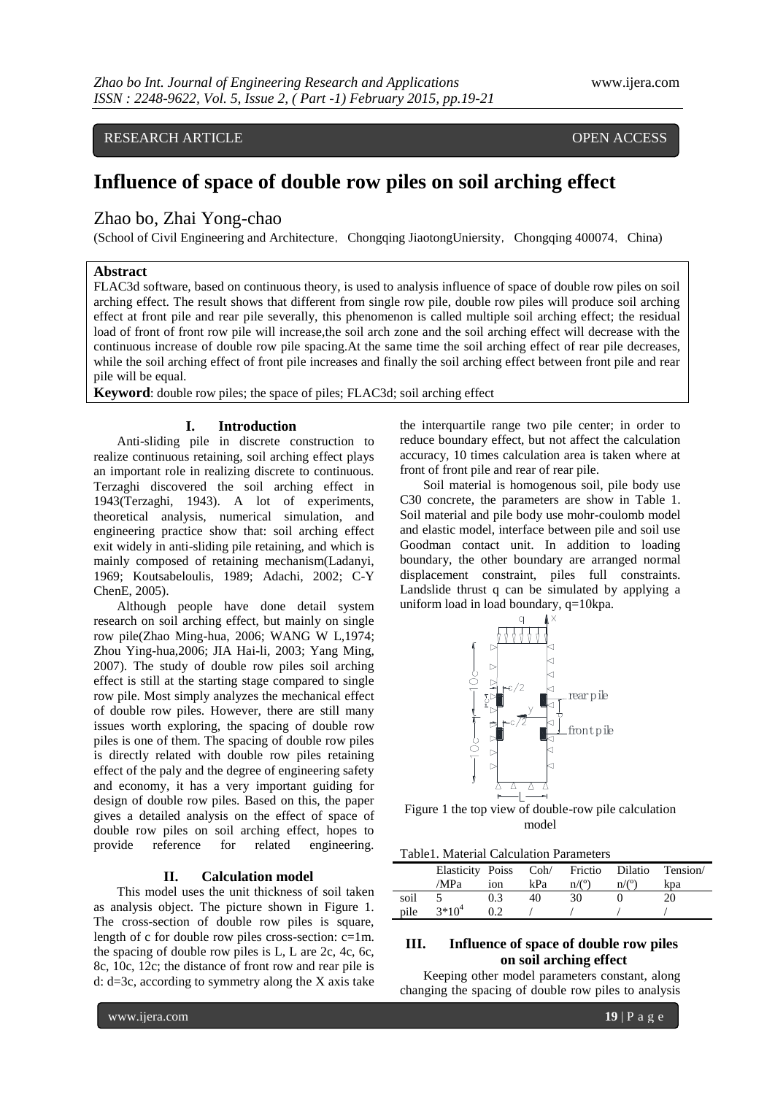RESEARCH ARTICLE **CONSERVERS** OPEN ACCESS

# **Influence of space of double row piles on soil arching effect**

# Zhao bo, Zhai Yong-chao

(School of Civil Engineering and Architecture, Chongqing JiaotongUniersity, Chongqing 400074, China)

## **Abstract**

FLAC3d software, based on continuous theory, is used to analysis influence of space of double row piles on soil arching effect. The result shows that different from single row pile, double row piles will produce soil arching effect at front pile and rear pile severally, this phenomenon is called multiple soil arching effect; the residual load of front of front row pile will increase,the soil arch zone and the soil arching effect will decrease with the continuous increase of double row pile spacing.At the same time the soil arching effect of rear pile decreases, while the soil arching effect of front pile increases and finally the soil arching effect between front pile and rear pile will be equal.

**Keyword:** double row piles; the space of piles; FLAC3d; soil arching effect

#### **I. Introduction**

Anti-sliding pile in discrete construction to realize continuous retaining, soil arching effect plays an important role in realizing discrete to continuous. Terzaghi discovered the soil arching effect in 1943(Terzaghi, 1943). A lot of experiments, theoretical analysis, numerical simulation, and engineering practice show that: soil arching effect exit widely in anti-sliding pile retaining, and which is mainly composed of retaining mechanism(Ladanyi, 1969; Koutsabeloulis, 1989; Adachi, 2002; C-Y ChenE, 2005).

Although people have done detail system research on soil arching effect, but mainly on single row pile(Zhao Ming-hua, 2006; WANG W L,1974; Zhou Ying-hua,2006; JIA Hai-li, 2003; Yang Ming, 2007). The study of double row piles soil arching effect is still at the starting stage compared to single row pile. Most simply analyzes the mechanical effect of double row piles. However, there are still many issues worth exploring, the spacing of double row piles is one of them. The spacing of double row piles is directly related with double row piles retaining effect of the paly and the degree of engineering safety and economy, it has a very important guiding for design of double row piles. Based on this, the paper gives a detailed analysis on the effect of space of double row piles on soil arching effect, hopes to provide reference for related engineering.

### **II. Calculation model**

This model uses the unit thickness of soil taken as analysis object. The picture shown in Figure 1. The cross-section of double row piles is square, length of c for double row piles cross-section: c=1m. the spacing of double row piles is L, L are 2c, 4c, 6c, 8c, 10c, 12c; the distance of front row and rear pile is d: d=3c, according to symmetry along the X axis take

the interquartile range two pile center; in order to reduce boundary effect, but not affect the calculation accuracy, 10 times calculation area is taken where at front of front pile and rear of rear pile.

Soil material is homogenous soil, pile body use C30 concrete, the parameters are show in Table 1. Soil material and pile body use mohr-coulomb model and elastic model, interface between pile and soil use Goodman contact unit. In addition to loading boundary, the other boundary are arranged normal displacement constraint, piles full constraints. Landslide thrust q can be simulated by applying a uniform load in load boundary, q=10kpa.



Figure 1 the top view of double-row pile calculation model

|      | Elasticity Poiss Coh/ Frictio Dilatio<br>/MPa | 10n | kPa | n/(°) | n/(°) | Tension/<br>kpa |
|------|-----------------------------------------------|-----|-----|-------|-------|-----------------|
| soil |                                               | 0.3 |     | 30    |       |                 |
| pile | $3*10^4$                                      |     |     |       |       |                 |

# **III. Influence of space of double row piles on soil arching effect**

Keeping other model parameters constant, along changing the spacing of double row piles to analysis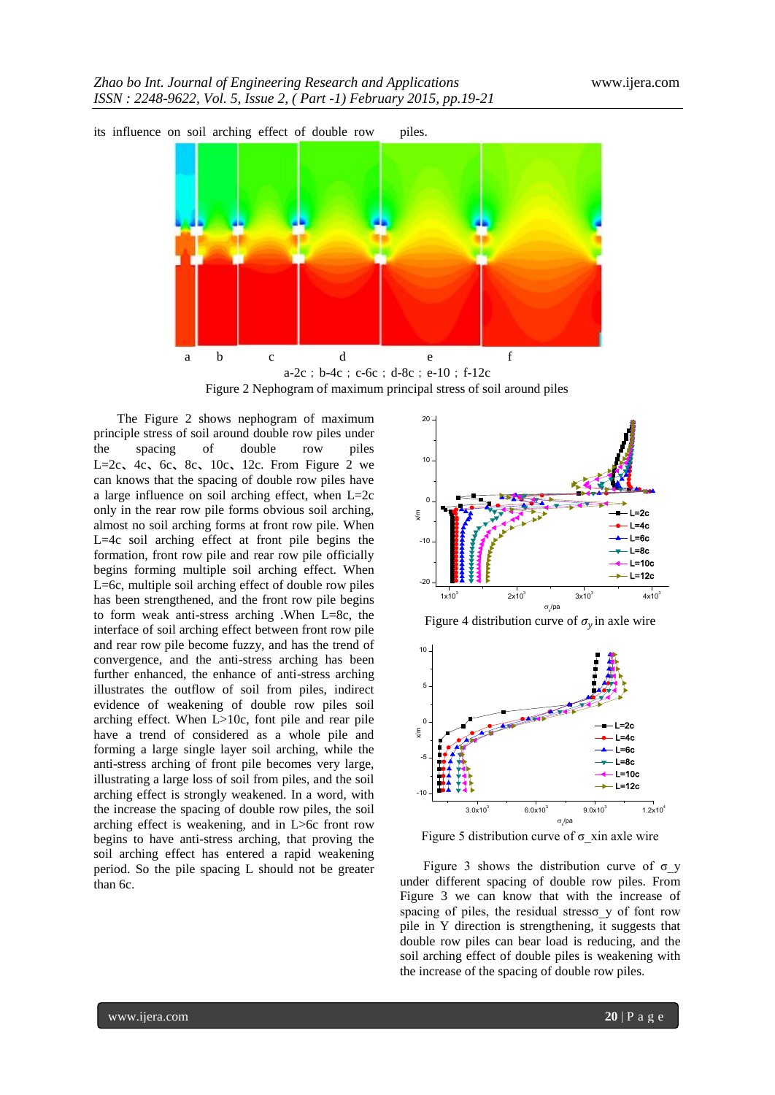

a-2c;b-4c;c-6c;d-8c;e-10;f-12c Figure 2 Nephogram of maximum principal stress of soil around piles

The Figure 2 shows nephogram of maximum principle stress of soil around double row piles under the spacing of double row piles L=2c, 4c, 6c, 8c, 10c, 12c. From Figure 2 we can knows that the spacing of double row piles have a large influence on soil arching effect, when L=2c only in the rear row pile forms obvious soil arching, almost no soil arching forms at front row pile. When L=4c soil arching effect at front pile begins the formation, front row pile and rear row pile officially begins forming multiple soil arching effect. When L=6c, multiple soil arching effect of double row piles has been strengthened, and the front row pile begins to form weak anti-stress arching .When L=8c, the interface of soil arching effect between front row pile and rear row pile become fuzzy, and has the trend of convergence, and the anti-stress arching has been further enhanced, the enhance of anti-stress arching illustrates the outflow of soil from piles, indirect evidence of weakening of double row piles soil arching effect. When L>10c, font pile and rear pile have a trend of considered as a whole pile and forming a large single layer soil arching, while the anti-stress arching of front pile becomes very large, illustrating a large loss of soil from piles, and the soil arching effect is strongly weakened. In a word, with the increase the spacing of double row piles, the soil arching effect is weakening, and in L>6c front row begins to have anti-stress arching, that proving the soil arching effect has entered a rapid weakening period. So the pile spacing L should not be greater than 6c.



Figure 4 distribution curve of  $\sigma_y$  in axle wire



Figure 5 distribution curve of  $\sigma$  xin axle wire

Figure 3 shows the distribution curve of  $\sigma$  y under different spacing of double row piles. From Figure 3 we can know that with the increase of spacing of piles, the residual stresso  $y$  of font row pile in Y direction is strengthening, it suggests that double row piles can bear load is reducing, and the soil arching effect of double piles is weakening with the increase of the spacing of double row piles.